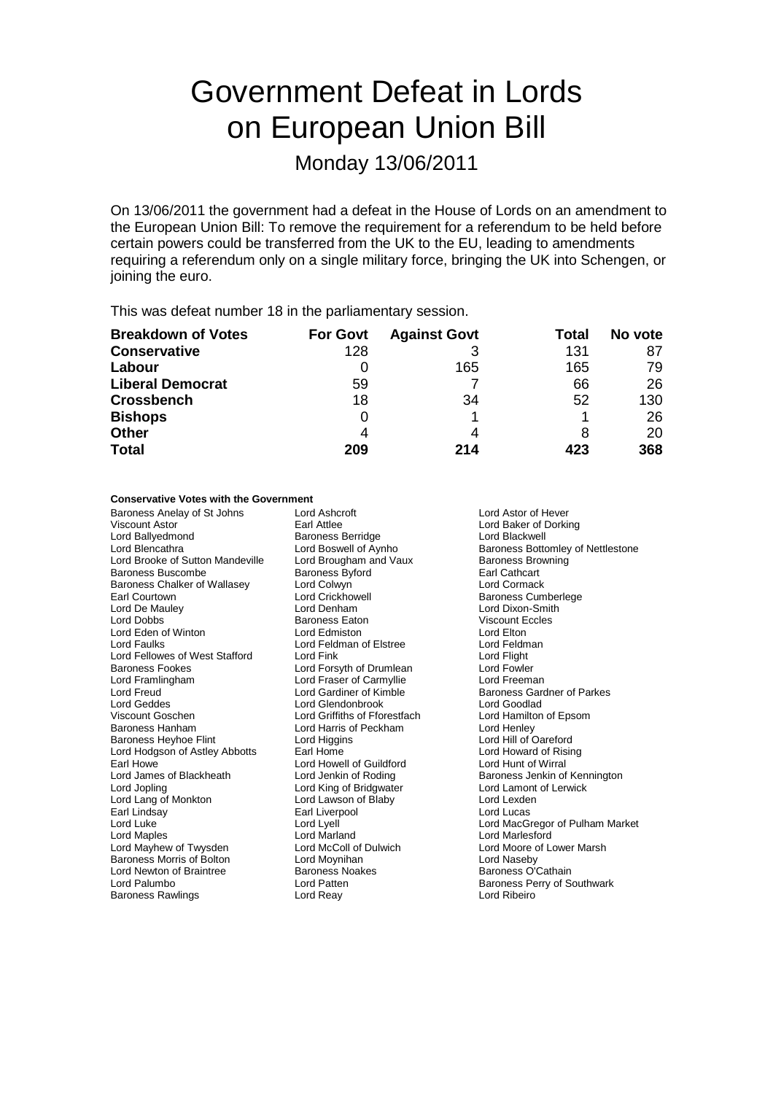# Government Defeat in Lords on European Union Bill

Monday 13/06/2011

On 13/06/2011 the government had a defeat in the House of Lords on an amendment to the European Union Bill: To remove the requirement for a referendum to be held before certain powers could be transferred from the UK to the EU, leading to amendments requiring a referendum only on a single military force, bringing the UK into Schengen, or joining the euro.

This was defeat number 18 in the parliamentary session.

| <b>Breakdown of Votes</b> | <b>For Govt</b> | <b>Against Govt</b> | Total | No vote |
|---------------------------|-----------------|---------------------|-------|---------|
| <b>Conservative</b>       | 128             |                     | 131   | 87      |
| Labour                    |                 | 165                 | 165   | 79      |
| <b>Liberal Democrat</b>   | 59              |                     | 66    | 26      |
| <b>Crossbench</b>         | 18              | 34                  | 52    | 130     |
| <b>Bishops</b>            | 0               |                     |       | 26      |
| <b>Other</b>              | 4               | 4                   |       | 20      |
| <b>Total</b>              | 209             | 214                 | 423   | 368     |

#### **Conservative Votes with the Government**

Baroness Anelay of St Johns Lord Ashcroft **Lord Ashcroft** Lord Ashcroft Lord Ashcroft Corresponds Lord Ashcroft Corresponds Carl Attlee Corresponds Lord Baker of Dorki Viscount Astor **Earl Attlee** Earl Attlee Lord Baker of Dorking<br>
Lord Ballyedmond **Earl Baroness Berridge** Lord Blackwell Lord Brooke of Sutton Mandeville Baroness Buscombe Baroness Byford Earl Cathcart Baroness Chalker of Wallasey Lord Colwyn Corporation Corporation Corporation Corporation Corporation Lord Cormack<br>
Lord Crickhowell Corporation Corporation Corporation Corporation Corporation Corporation Corporation Corpor Earl Courtown **Lord Crickhowell** Earl Courtown **Constanting Crickhowell** Baroness Cumberlege<br>
Lord De Maulev **Lord Court Court Court Court Court Court Court Court Court Court Lord Dixon-Smith** Lord De Mauley Lord Denham Lord Dixon-Smith Lord Eden of Winton **Lord Edmiston** Lord Elstree **Lord Elton** Lord Elton Lord Elton Lord Electron Lord Feldman of Elstree Lord Fellowes of West Stafford Lord Fink Lord Flight Baroness Fookes Lord Forsyth of Drumlean Lord Fowler Lord Framlingham Lord Fraser of Carmyllie Lord Freud **Lord Cardiner of Kimble** Baroness Gardner of Parkes<br>
Lord Geddes **Lord Gendonbrook** Lord Goodlad Viscount Goschen **Lord Griffiths of Fforestfach** Baroness Hanham **Commission Container Commission** Lord Henley<br>Baroness Heyhoe Flint **Commission Commission Commission Commission** Lord Hill of Oareford Baroness Heyhoe Flint Lord Higgins<br>
Lord Hodgson of Astley Abbotts Earl Home<br>
Lord Howard of Rising Lord Hodgson of Astley Abbotts Earl Howe Lord Howell of Guildford Cord Hunt of Wirral<br>
Lord James of Blackheath Lord Jenkin of Roding Baroness Jenkin of Lord James of Blackheath Lord Jenkin of Roding Baroness Jenkin of Kennington<br>
Lord Jopling Britannic Lord King of Bridgwater Lord Lamont of Lerwick Lord Jopling Lord King of Bridgwater<br>
Lord Lang of Monkton Lord Lawson of Blaby Earl Lindsay Earl Liverpool Lord Lucas Lord Mayhew of Twysden Lord McColl of Dulwich Lord Moore of Lower Marsh Baroness Morris of Bolton **Lord Moynihan**<br>
Lord Newton of Braintree **Lord Baroness Noakes Lord National Baroness O'Cathain** Lord Newton of Braintree **Baroness Noace Baroness Noace Baroness** No<br>
Lord Palumbo<br>
Lord Patten Baroness Rawlings Lord Reay Lord Ribeiro

Baroness Berridge<br>Lord Boswell of Aynho Paroness Eaton Viscount El ord Edmiston Lord Company Control Lord Elton Lord Feldman of Elstree **Lord Feldman of Elstree** Lord Feldman Lord Feldman Lord Feldman Lord Flight Lord Glendonbrook Lord Goodlad<br>
Lord Griffiths of Fforestfach Lord Hamilton of Epsom Lord Lawson of Blaby Lord Lexden Lord Marland<br>
Lord McColl of Dulwich<br>
Lord Moore of Lo

Lord Blencathra **Lord Boswell of Aynho**<br>
Lord Brooke of Sutton Mandeville 
Lord Brougham and Vaux
Baroness Browning Lord Luke Lord Lord Lord Lyell Lord Cord Luke Lord MacGregor of Pulham Market<br>
Lord MacGregor of Pulham Market<br>
Lord Marles Lord Market Lord Market Lord Market Lord Market Lord Market Lord Market Lord Market Lord Market L Baroness Perry of Southwark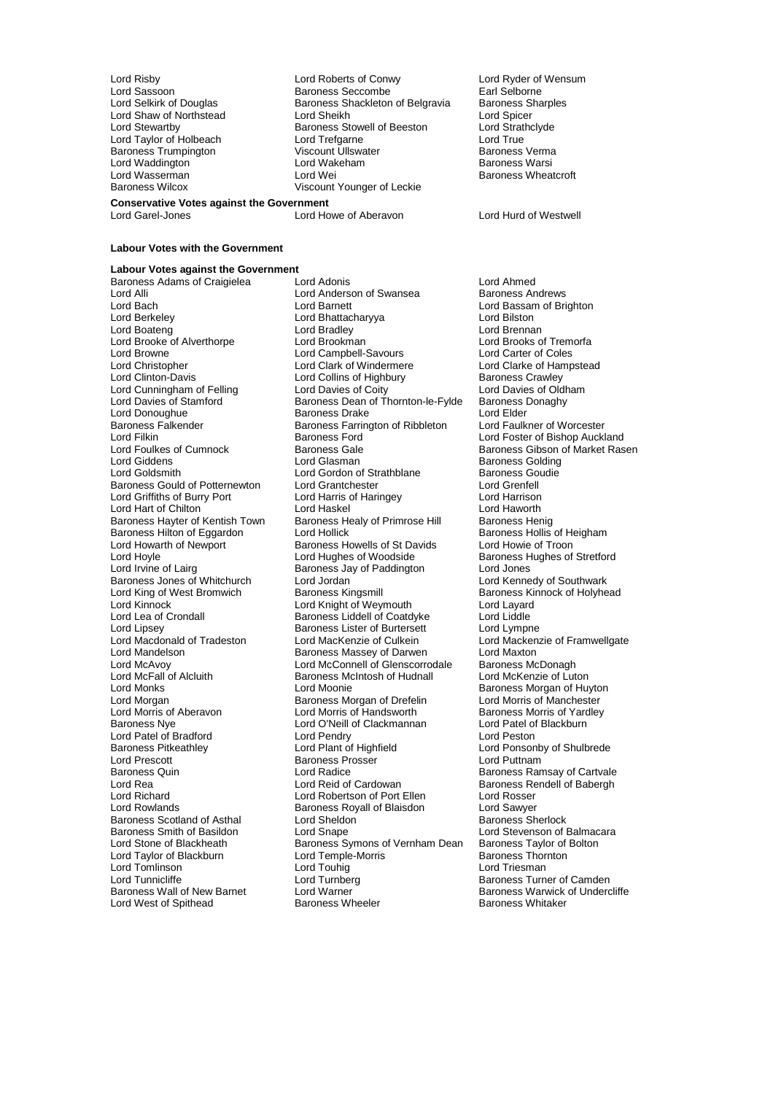Baroness Trumpington

Lord Risby Lord Roberts of Conwy Lord Ryder of Wensum Lord Sassoon **Baroness Seccombe** Earl Selborne<br>
Lord Selkirk of Douglas **Baroness Shackleton of Belgravia** Baroness Sharples Baroness Shackleton of Belgravia Lord Shaw of Northstead Lord Sheikh Lord Sheikh Lord Sheikh Lord Sheikh Lord Sheikh Lord Sheikh Lord Sheikh Lord Strathclyde Baroness Stowell of Beeston Lord Strathcland Lord True<br>Lord Trefoarne Lord True Lord Taylor of Holbeach Lord Trefgarne Lord Treft Lord True<br>
Baroness Trumpinaton Ciscount Ullswater Charles Baroness Verma Lord Waddington Lord Wakeham Baroness Warsi Lord Wasserman Lord Wei Communication Baroness Wheatcroft<br>
Baroness Wilcox Clicos Communication Communication Clicking Communication Clicking Baroness Wheatcroft Viscount Younger of Leckie

**Conservative Votes against the Government** Lord Garel-Jones Lord Howe of Aberavon Lord Hurd of Westwell

### **Labour Votes with the Government**

**Labour Votes against the Government**

Lord Alli Lord Anderson of Swansea<br>
Lord Bach Lord Barnett<br>
Lord Barnett Lord Browne **Lord Campbell-Savours**<br>
Lord Christopher **Lord Clark of Windermere** Baroness Falkender **Baroness Falkender** Baroness Farrington of Ribbleton Lord Filkin Lord Howarth of Newport Baroness Howells of St Davids<br>
Lord Hoyle Cord Hughes of Woodside Baroness Jones of Whitchurch Lord Jordan<br>Lord King of West Bromwich Baroness Kingsmill Lord Lea of Crondall **Baroness Liddell of Coatdyke**<br>
Baroness Lister of Burtersett Lord McFall of Alcluith Baroness McIntosh of Hudnall<br>Lord Monks Lord Moonie of Luthall Lord Patel of Bradford Lord Pendry Lord Peston Baroness Scotland of Asthal Lord Sheldon<br>Baroness Smith of Basildon Lord Snape Lord Tomlinson<br>
Lord Tunnicliffe 
Lord Tunnicliffe 
Lord Tunnberg Lord West of Spithead

Baroness Adams of Craigielea Lord Adonis<br>
Lord Andrews Lord Anderson of Swansea Baroness Andrews Lord Bach Lord Barnett Lord Barnett Lord Bassam of Brighton<br>
Lord Berkeley Cord Bhattacharyya Lord Bilston<br>
Lord Berkeley Cord Bilston Lord Bhattacharyya **Lord Bilston**<br>Lord Bradley Lord Brennan Lord Boateng **Lord Bradley**<br>
Lord Brooke of Alverthorpe **Lord Brookman**<br>
Lord Brooke of Alverthorpe **Lord Brookman** Lord Brooke of Alverthorpe **Lord Brookman** Lord Brooks of Tremorfange Cord Brooks of Tremorfange Cord Care Cord Care Cord Care Cord Care Cord Care Cord Care Cord Care Cord Care Cord Care Cord Care Cord Care Cord Care Cord Lord Christopher **Lord Clark of Windermere** Lord Clarke of Hampstead<br>
Lord Clinton-Davis **Lord Collins of Highbury** Baroness Crawley Lord Collins of Highbury<br>
Lord Collins of Highbury Baroness Crawley<br>
Lord Davies of Coity Lord Davies of Oldham Lord Cunningham of Felling Lord Davies of Coity Lord Davies of Oldham Lord Davies of Oldhamam Lord Davies of Oldh<br>Lord Davies of Stamford Baroness Dean of Thornton-le-Fylde Baroness Donaghy Baroness Dean of Thornton-le-Fylde Baroness I<br>Baroness Drake Baroness Drake Baroness Drake Lord Donoughue **Baroness Drake** Lord Elder Lord Elder<br>Baroness Falkender **Baroness Example Baroness Example Accept** Lord Faulkner of Worcester Lord Filkin **Exercise State of Bishop Auckland**<br>Lord Foulkes of Cumnock **Contain Baroness Gale Lord Baroness Gibson of Market Ras** Lord Foulkes of Cumnock Baroness Gale Baroness Gibson of Market Rasen<br>
Lord Giddens Lord Gibson of Market Rasen<br>
Lord Gibson of Market Rasen Lord Giddens **Lord Glasman** Baroness Golding<br>
Lord Goldsmith **Baroness Goudie**<br>
Lord Goldsmith **Baroness Goudie** Lord Gordon of Strathblane Baroness Goudie<br>
Lord Grantchester Lord Grenfell<br>
Lord Grenfell Baroness Gould of Potternewton Lord Grantchester **Lord Creative Contract Construct**<br>
Lord Griffiths of Burry Port Lord Harris of Haringey **Lord Harrison** Lord Griffiths of Burry Port Lord Harris of Haringey Lord Harrison Lord Hart of Chilton **Lord Haskel** Lord Haskel Lord Haworth Lord Haworth Lord Haworth Lord Haworth Lord Haworth Lord Haworth Baroness Henig Baroness Hayter of Kentish Town Baroness Healy of Primrose Hill Baroness Henig<br>Baroness Hilton of Eggardon Lord Hollick Baroness Hollis of Heigham Baroness Hilton of Eggardon Lord Hollick Baroness Hollis of Heigham Baroness Hollis of Heigham Baroness Howells of St Davids Lord Howie of Troon Lord Hoyle **Lord Hughes of Woodside** Baroness Hughes of Stretford<br>
Lord Irvine of Lairg **Baroness Hughes Jay of Paddington** Lord Jones Baroness Jay of Paddington Lord Jones<br>
Lord Jordan Lord Kennedy of Southwark Lord King of West Bromwich **Baroness Kingsmill** Baroness Kinnock of Holyhead<br>
Lord Kinnock **Baroness Kingsmill** Baroness Kinnock of Holyhead Lord Kinnock **Lord Knight of Weymouth** Lord Layard<br>
Lord Lea of Crondall **Lord Layard Baroness Liddell of Coatdyke** Lord Liddle Baroness Lister of Burtersett Lord Lympne<br>Lord MacKenzie of Culkein Lord Mackenzie of Framwellgate Lord Macdonald of Tradeston Lord MacKenzie of Culkein Lord Macken<br>Lord Mandelson Baroness Massey of Darwen Lord Maxton Lord Mandelson **Baroness Massey of Darwen** Lord Maxton<br>Lord McAvov **Baroness McConnell of Glenscorrodale** Baroness McDonagh Lord McAvoy **Lord McConnell of Glenscorrodale** Baroness McDonagh<br>
Lord McFall of Alcluith **Baroness McIntosh of Hudnall** Lord McKenzie of Luton Lord Morgan **Baroness Morgan of Drefelin** Lord Morris of Manchester<br>Lord Morris of Aberavon Lord Morris of Handsworth **Baroness Morris of Yardley** Lord Morris of Aberavon **Lord Morris of Handsworth** Baroness Morris of Yard<br>Baroness Nye **Baroness Nye Baroness Algebrary Corris A**bert Lord Patel of Blackburn Lord O'Neill of Clackmannan Lord Patel of Lord Pendry Baroness Pitkeathley **Lord Plant of Highfield** Lord Ponsonby of Shulbrede<br>
Lord Prescott Baroness Prosser Lord Puttnam Baroness Prosser Baroness Quin **Exercise Search Cord Radice** Baroness Ramsay of Cartvale Cord Reid Card Cardowan **Baroness Rendell of Babergh**<br>
Lord Rea **Cord Reid of Cardowan** Baroness Rendell of Babergh Lord Rea Lord Reid of Cardowan Baroness Rendell of Babergh<br>
Lord Richard Cord Robertson of Port Ellen Lord Rosser Lord Richard **Lord Robertson of Port Ellen** Lord Rosser<br>
Lord Rowlands **Lord Robert Baroness Royall of Blaisdon** Lord Sawyer Lord Rowlands Baroness Royall of Blaisdon Lord Sawyer Baroness Smith of Basildon Lord Snape Lord Stevenson of Balmacara<br>
Lord Stevenson of Blackheath Baroness Symons of Vernham Dean Baroness Taylor of Bolton Baroness Symons of Vernham Dean Baroness Taylor of Lord Temple-Morris Baroness Thornton Lord Taylor of Blackburn Lord Temple-Morris Baroness Thornton Lord Tunnicliffe Lord Turnberg Communication Camden<br>Baroness Wall of New Barnet Lord Warner Communication Baroness Warwick of Underc Lord Warner The Raroness Warwick of Undercliffe<br>Baroness Wheeler Baroness Whitaker

Baroness Morgan of Huyton<br>Lord Morris of Manchester